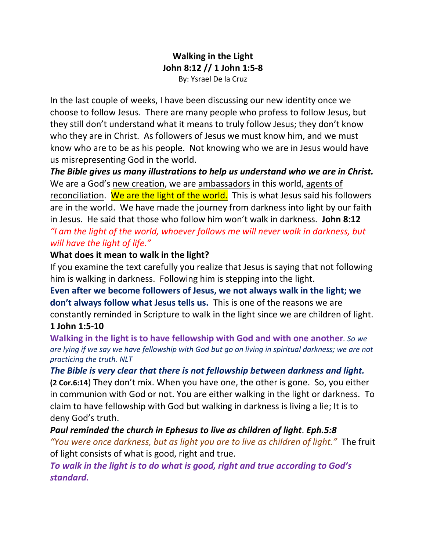## **Walking in the Light John 8:12 // 1 John 1:5-8** By: Ysrael De la Cruz

In the last couple of weeks, I have been discussing our new identity once we choose to follow Jesus. There are many people who profess to follow Jesus, but they still don't understand what it means to truly follow Jesus; they don't know who they are in Christ. As followers of Jesus we must know him, and we must know who are to be as his people. Not knowing who we are in Jesus would have us misrepresenting God in the world.

*The Bible gives us many illustrations to help us understand who we are in Christ.* We are a God's new creation, we are ambassadors in this world, agents of reconciliation. We are the light of the world. This is what Jesus said his followers are in the world. We have made the journey from darkness into light by our faith in Jesus. He said that those who follow him won't walk in darkness. **John 8:12** *"I am the light of the world, whoever follows me will never walk in darkness, but will have the light of life."*

### **What does it mean to walk in the light?**

If you examine the text carefully you realize that Jesus is saying that not following him is walking in darkness. Following him is stepping into the light.

**Even after we become followers of Jesus, we not always walk in the light; we don't always follow what Jesus tells us.** This is one of the reasons we are constantly reminded in Scripture to walk in the light since we are children of light. **1 John 1:5-10**

**Walking in the light is to have fellowship with God and with one another***. So we are lying if we say we have fellowship with God but go on living in spiritual darkness; we are not practicing the truth. NLT*

### *The Bible is very clear that there is not fellowship between darkness and light.*

**(2 Cor.6:14**) They don't mix. When you have one, the other is gone. So, you either in communion with God or not. You are either walking in the light or darkness. To claim to have fellowship with God but walking in darkness is living a lie; It is to deny God's truth.

*Paul reminded the church in Ephesus to live as children of light*. *Eph.5:8 "You were once darkness, but as light you are to live as children of light."* The fruit of light consists of what is good, right and true.

*To walk in the light is to do what is good, right and true according to God's standard.*